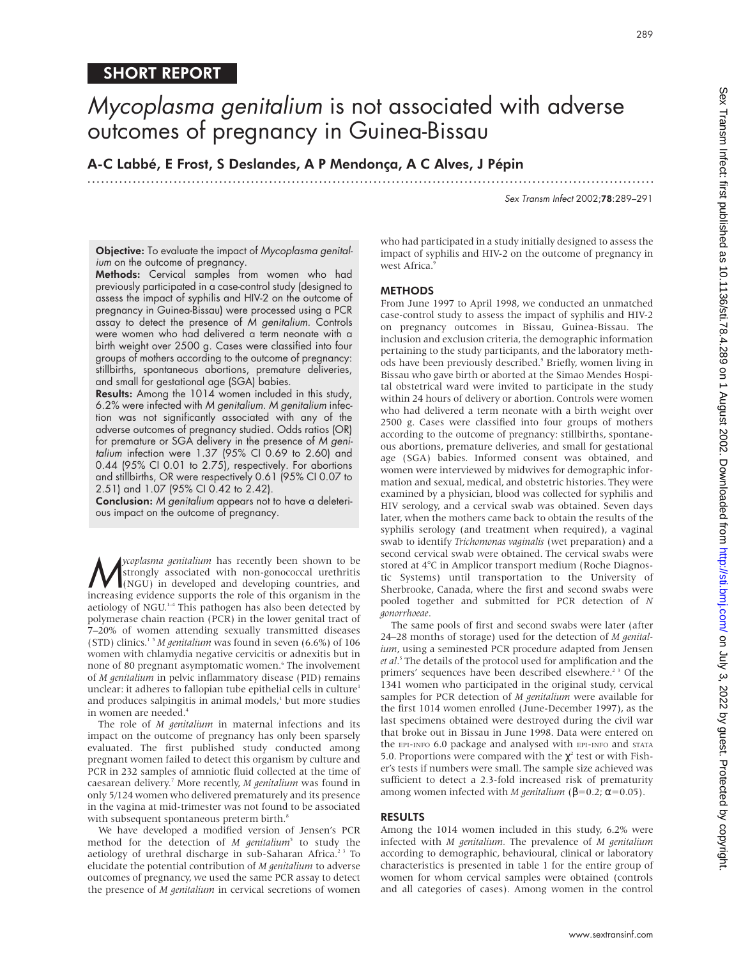# SHORT REPORT

.............................................................................................................................

A-C Labbé, E Frost, S Deslandes, A P Mendonça, A C Alves, J Pépin

Sex Transm Infect 2002;78:289–291

Objective: To evaluate the impact of Mycoplasma genitalium on the outcome of pregnancy.

Methods: Cervical samples from women who had previously participated in a case-control study (designed to assess the impact of syphilis and HIV-2 on the outcome of pregnancy in Guinea-Bissau) were processed using a PCR assay to detect the presence of M genitalium. Controls were women who had delivered a term neonate with a birth weight over 2500 g. Cases were classified into four groups of mothers according to the outcome of pregnancy: stillbirths, spontaneous abortions, premature deliveries, and small for gestational age (SGA) babies.

Results: Among the 1014 women included in this study, 6.2% were infected with M genitalium. M genitalium infection was not significantly associated with any of the adverse outcomes of pregnancy studied. Odds ratios (OR) for premature or SGA delivery in the presence of M genitalium infection were 1.37 (95% CI 0.69 to 2.60) and 0.44 (95% CI 0.01 to 2.75), respectively. For abortions and stillbirths, OR were respectively 0.61 (95% CI 0.07 to 2.51) and 1.07 (95% CI 0.42 to 2.42).

Conclusion: <sup>M</sup> genitalium appears not to have a deleterious impact on the outcome of pregnancy.

*ycoplasma genitalium* has recently been shown to be strongly associated with non-gonococcal urethritis (NGU) in developed and developing countries, and strongly associated with non-gonococcal urethritis increasing evidence supports the role of this organism in the aetiology of NGU.<sup>1-4</sup> This pathogen has also been detected by polymerase chain reaction (PCR) in the lower genital tract of 7–20% of women attending sexually transmitted diseases (STD) clinics.1 5 *M genitalium* was found in seven (6.6%) of 106 women with chlamydia negative cervicitis or adnexitis but in none of 80 pregnant asymptomatic women.<sup>6</sup> The involvement of *M genitalium* in pelvic inflammatory disease (PID) remains unclear: it adheres to fallopian tube epithelial cells in culture<sup>1</sup> and produces salpingitis in animal models, $\frac{1}{2}$  but more studies in women are needed.<sup>4</sup>

The role of *M genitalium* in maternal infections and its impact on the outcome of pregnancy has only been sparsely evaluated. The first published study conducted among pregnant women failed to detect this organism by culture and PCR in 232 samples of amniotic fluid collected at the time of caesarean delivery.7 More recently, *M genitalium* was found in only 5/124 women who delivered prematurely and its presence in the vagina at mid-trimester was not found to be associated with subsequent spontaneous preterm birth.<sup>8</sup>

We have developed a modified version of Jensen's PCR method for the detection of *M genitalium*<sup>5</sup> to study the aetiology of urethral discharge in sub-Saharan Africa.<sup>23</sup> To elucidate the potential contribution of *M genitalium* to adverse outcomes of pregnancy, we used the same PCR assay to detect the presence of *M genitalium* in cervical secretions of women

who had participated in a study initially designed to assess the impact of syphilis and HIV-2 on the outcome of pregnancy in west Africa.9

# **METHODS**

From June 1997 to April 1998, we conducted an unmatched case-control study to assess the impact of syphilis and HIV-2 on pregnancy outcomes in Bissau, Guinea-Bissau. The inclusion and exclusion criteria, the demographic information pertaining to the study participants, and the laboratory methods have been previously described.<sup>9</sup> Briefly, women living in Bissau who gave birth or aborted at the Simao Mendes Hospital obstetrical ward were invited to participate in the study within 24 hours of delivery or abortion. Controls were women who had delivered a term neonate with a birth weight over 2500 g. Cases were classified into four groups of mothers according to the outcome of pregnancy: stillbirths, spontaneous abortions, premature deliveries, and small for gestational age (SGA) babies. Informed consent was obtained, and women were interviewed by midwives for demographic information and sexual, medical, and obstetric histories. They were examined by a physician, blood was collected for syphilis and HIV serology, and a cervical swab was obtained. Seven days later, when the mothers came back to obtain the results of the syphilis serology (and treatment when required), a vaginal swab to identify *Trichomonas vaginalis* (wet preparation) and a second cervical swab were obtained. The cervical swabs were stored at 4°C in Amplicor transport medium (Roche Diagnostic Systems) until transportation to the University of Sherbrooke, Canada, where the first and second swabs were pooled together and submitted for PCR detection of *N gonorrhoeae*.

The same pools of first and second swabs were later (after 24–28 months of storage) used for the detection of *M genitalium*, using a seminested PCR procedure adapted from Jensen *et al*. <sup>5</sup> The details of the protocol used for amplification and the primers' sequences have been described elsewhere.<sup>23</sup> Of the 1341 women who participated in the original study, cervical samples for PCR detection of *M genitalium* were available for the first 1014 women enrolled (June-December 1997), as the last specimens obtained were destroyed during the civil war that broke out in Bissau in June 1998. Data were entered on the EPI-INFO 6.0 package and analysed with EPI-INFO and STATA 5.0. Proportions were compared with the  $\chi^2$  test or with Fisher's tests if numbers were small. The sample size achieved was sufficient to detect a 2.3-fold increased risk of prematurity among women infected with *M genitalium* (β=0.2; α=0.05).

#### RESULTS

Among the 1014 women included in this study, 6.2% were infected with *M genitalium.* The prevalence of *M genitalium* according to demographic, behavioural, clinical or laboratory characteristics is presented in table 1 for the entire group of women for whom cervical samples were obtained (controls and all categories of cases). Among women in the control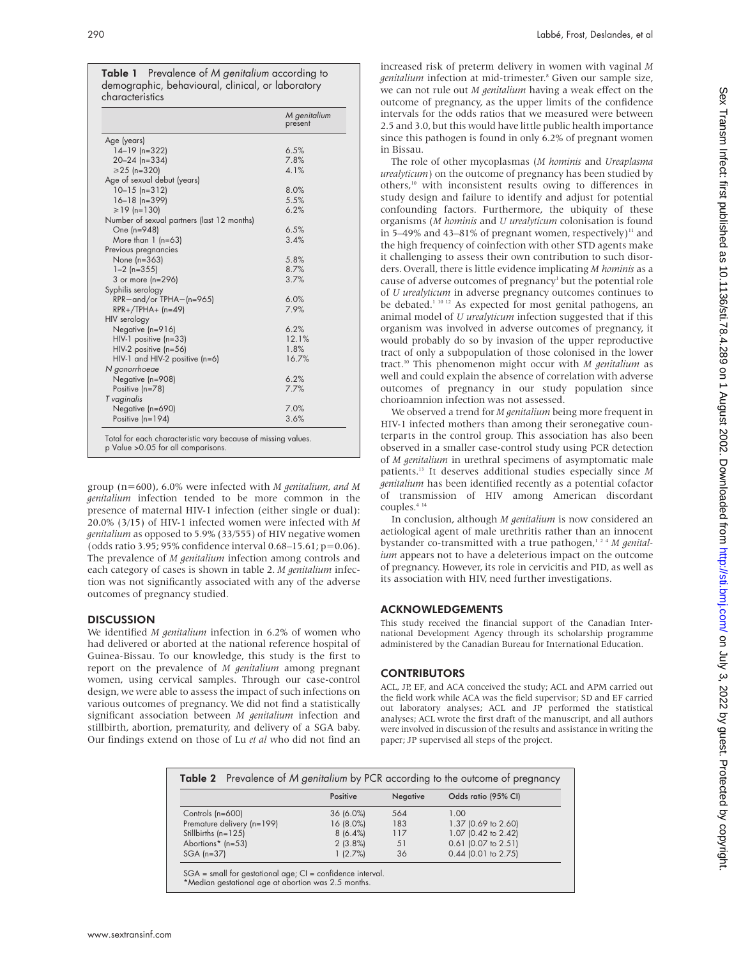Table 1 Prevalence of M genitalium according to demographic, behavioural, clinical, or laboratory characteristics

|                                            | M genitalium<br>present |
|--------------------------------------------|-------------------------|
| Age (years)                                |                         |
| $14-19$ (n=322)                            | 6.5%                    |
| $20 - 24$ (n=334)                          | 7.8%                    |
| $\geq 25$ (n=320)                          | 4.1%                    |
| Age of sexual debut (years)                |                         |
| $10-15$ (n=312)                            | 8.0%                    |
| $16 - 18$ (n=399)                          | 5.5%                    |
| $\geq 19$ (n=130)                          | 6.2%                    |
| Number of sexual partners (last 12 months) |                         |
| One (n=948)                                | 6.5%                    |
| More than $1$ (n=63)                       | 3.4%                    |
| Previous pregnancies                       |                         |
| None (n=363)                               | 5.8%                    |
| $1 - 2$ (n=355)                            | 8.7%                    |
| 3 or more (n=296)                          | 3.7%                    |
| Syphilis serology                          |                         |
| RPR- and/or TPHA- (n=965)                  | 6.0%                    |
| $RPR+ / TPHA+ (n=49)$                      | 7.9%                    |
| HIV serology                               |                         |
| Negative (n=916)                           | 6.2%                    |
| $HIV-1$ positive (n=33)                    | 12.1%                   |
| HIV-2 positive (n=56)                      | 1.8%                    |
| $HIV-1$ and $HIV-2$ positive (n=6)         | 16.7%                   |
| N gonorrhoeae                              |                         |
| Negative (n=908)                           | 6.2%                    |
| Positive (n=78)                            | 7.7%                    |
| T vaginalis                                |                         |
| Negative (n=690)                           | 7.0%                    |
| Positive (n=194)                           | 3.6%                    |

group (n=600), 6.0% were infected with *M genitalium, and M genitalium* infection tended to be more common in the presence of maternal HIV-1 infection (either single or dual): 20.0% (3/15) of HIV-1 infected women were infected with *M genitalium* as opposed to 5.9% (33/555) of HIV negative women (odds ratio 3.95; 95% confidence interval 0.68–15.61; p=0.06). The prevalence of *M genitalium* infection among controls and each category of cases is shown in table 2. *M genitalium* infection was not significantly associated with any of the adverse outcomes of pregnancy studied.

# **DISCUSSION**

We identified *M genitalium* infection in 6.2% of women who had delivered or aborted at the national reference hospital of Guinea-Bissau. To our knowledge, this study is the first to report on the prevalence of *M genitalium* among pregnant women, using cervical samples. Through our case-control design, we were able to assess the impact of such infections on various outcomes of pregnancy. We did not find a statistically significant association between *M genitalium* infection and stillbirth, abortion, prematurity, and delivery of a SGA baby. Our findings extend on those of Lu *et al* who did not find an

increased risk of preterm delivery in women with vaginal *M genitalium* infection at mid-trimester.8 Given our sample size, we can not rule out *M genitalium* having a weak effect on the outcome of pregnancy, as the upper limits of the confidence intervals for the odds ratios that we measured were between 2.5 and 3.0, but this would have little public health importance since this pathogen is found in only 6.2% of pregnant women in Bissau.

The role of other mycoplasmas (*M hominis* and *Ureaplasma urealyticum*) on the outcome of pregnancy has been studied by others,10 with inconsistent results owing to differences in study design and failure to identify and adjust for potential confounding factors. Furthermore, the ubiquity of these organisms (*M hominis* and *U urealyticum* colonisation is found in 5–49% and 43–81% of pregnant women, respectively)<sup>11</sup> and the high frequency of coinfection with other STD agents make it challenging to assess their own contribution to such disorders. Overall, there is little evidence implicating *M hominis* as a cause of adverse outcomes of pregnancy<sup>1</sup> but the potential role of *U urealyticum* in adverse pregnancy outcomes continues to be debated.<sup>1 10 12</sup> As expected for most genital pathogens, an animal model of *U urealyticum* infection suggested that if this organism was involved in adverse outcomes of pregnancy, it would probably do so by invasion of the upper reproductive tract of only a subpopulation of those colonised in the lower tract.10 This phenomenon might occur with *M genitalium* as well and could explain the absence of correlation with adverse outcomes of pregnancy in our study population since chorioamnion infection was not assessed.

We observed a trend for *M genitalium* being more frequent in HIV-1 infected mothers than among their seronegative counterparts in the control group. This association has also been observed in a smaller case-control study using PCR detection of *M genitalium* in urethral specimens of asymptomatic male patients.13 It deserves additional studies especially since *M genitalium* has been identified recently as a potential cofactor of transmission of HIV among American discordant couples.4 14

In conclusion, although *M genitalium* is now considered an aetiological agent of male urethritis rather than an innocent bystander co-transmitted with a true pathogen,<sup>124</sup> *M* genital*ium* appears not to have a deleterious impact on the outcome of pregnancy. However, its role in cervicitis and PID, as well as its association with HIV, need further investigations.

# ACKNOWLEDGEMENTS

This study received the financial support of the Canadian International Development Agency through its scholarship programme administered by the Canadian Bureau for International Education.

# **CONTRIBUTORS**

ACL, JP, EF, and ACA conceived the study; ACL and APM carried out the field work while ACA was the field supervisor; SD and EF carried out laboratory analyses; ACL and JP performed the statistical analyses; ACL wrote the first draft of the manuscript, and all authors were involved in discussion of the results and assistance in writing the paper; JP supervised all steps of the project.

| <b>Table 2</b> Prevalence of M genitalium by PCR according to the outcome of pregnancy |            |          |                       |
|----------------------------------------------------------------------------------------|------------|----------|-----------------------|
|                                                                                        | Positive   | Negative | Odds ratio (95% CI)   |
| Controls (n=600)                                                                       | 36 (6.0%)  | 564      | 1.00                  |
| Premature delivery (n=199)                                                             | 16 (8.0%)  | 183      | 1.37 (0.69 to 2.60)   |
| Stillbirths $(n=125)$                                                                  | 8(6.4%)    | 117      | 1.07 (0.42 to 2.42)   |
| Abortions* (n=53)                                                                      | $2(3.8\%)$ | 51       | $0.61$ (0.07 to 2.51) |
| $SGA$ (n=37)                                                                           | 1(2.7%)    | 36       | $0.44$ (0.01 to 2.75) |

SGA = small for gestational age; CI = confidence interval. \*Median gestational age at abortion was 2.5 months.